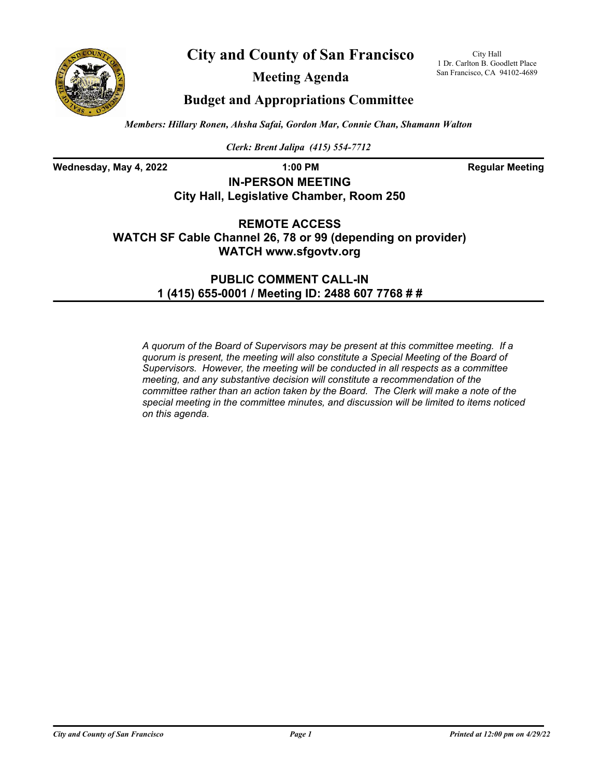



**Meeting Agenda**

City Hall 1 Dr. Carlton B. Goodlett Place San Francisco, CA 94102-4689

## **Budget and Appropriations Committee**

*Members: Hillary Ronen, Ahsha Safai, Gordon Mar, Connie Chan, Shamann Walton*

*Clerk: Brent Jalipa (415) 554-7712*

**Wednesday, May 4, 2022 1:00 PM Regular Meeting**

## **IN-PERSON MEETING City Hall, Legislative Chamber, Room 250**

**REMOTE ACCESS WATCH SF Cable Channel 26, 78 or 99 (depending on provider) WATCH www.sfgovtv.org**

> **PUBLIC COMMENT CALL-IN 1 (415) 655-0001 / Meeting ID: 2488 607 7768 # #**

*A quorum of the Board of Supervisors may be present at this committee meeting. If a quorum is present, the meeting will also constitute a Special Meeting of the Board of Supervisors. However, the meeting will be conducted in all respects as a committee meeting, and any substantive decision will constitute a recommendation of the committee rather than an action taken by the Board. The Clerk will make a note of the special meeting in the committee minutes, and discussion will be limited to items noticed on this agenda.*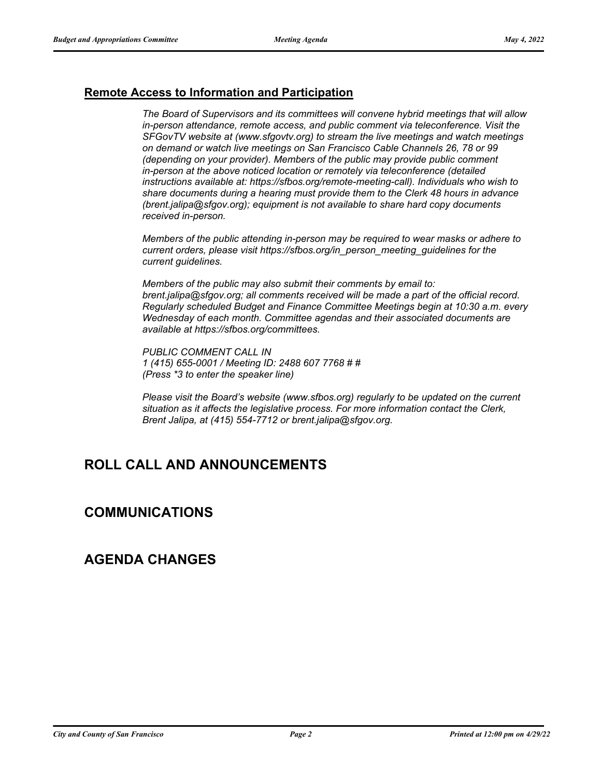### **Remote Access to Information and Participation**

*The Board of Supervisors and its committees will convene hybrid meetings that will allow in-person attendance, remote access, and public comment via teleconference. Visit the SFGovTV website at (www.sfgovtv.org) to stream the live meetings and watch meetings on demand or watch live meetings on San Francisco Cable Channels 26, 78 or 99 (depending on your provider). Members of the public may provide public comment in-person at the above noticed location or remotely via teleconference (detailed instructions available at: https://sfbos.org/remote-meeting-call). Individuals who wish to share documents during a hearing must provide them to the Clerk 48 hours in advance (brent.jalipa@sfgov.org); equipment is not available to share hard copy documents received in-person.*

*Members of the public attending in-person may be required to wear masks or adhere to current orders, please visit https://sfbos.org/in\_person\_meeting\_guidelines for the current guidelines.*

*Members of the public may also submit their comments by email to: brent.jalipa@sfgov.org; all comments received will be made a part of the official record. Regularly scheduled Budget and Finance Committee Meetings begin at 10:30 a.m. every Wednesday of each month. Committee agendas and their associated documents are available at https://sfbos.org/committees.*

*PUBLIC COMMENT CALL IN 1 (415) 655-0001 / Meeting ID: 2488 607 7768 # # (Press \*3 to enter the speaker line)*

*Please visit the Board's website (www.sfbos.org) regularly to be updated on the current situation as it affects the legislative process. For more information contact the Clerk, Brent Jalipa, at (415) 554-7712 or brent.jalipa@sfgov.org.*

# **ROLL CALL AND ANNOUNCEMENTS**

## **COMMUNICATIONS**

## **AGENDA CHANGES**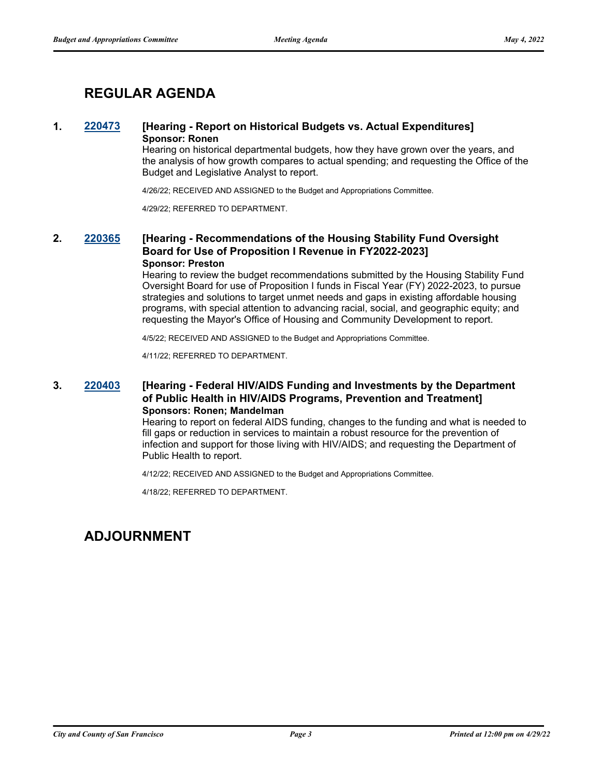# **REGULAR AGENDA**

### **1. [220473](http://sfgov.legistar.com/gateway.aspx?m=l&id=38665) [Hearing - Report on Historical Budgets vs. Actual Expenditures] Sponsor: Ronen**

Hearing on historical departmental budgets, how they have grown over the years, and the analysis of how growth compares to actual spending; and requesting the Office of the Budget and Legislative Analyst to report.

4/26/22; RECEIVED AND ASSIGNED to the Budget and Appropriations Committee.

4/29/22; REFERRED TO DEPARTMENT.

### **2. [220365](http://sfgov.legistar.com/gateway.aspx?m=l&id=38557) [Hearing - Recommendations of the Housing Stability Fund Oversight Board for Use of Proposition I Revenue in FY2022-2023] Sponsor: Preston**

Hearing to review the budget recommendations submitted by the Housing Stability Fund Oversight Board for use of Proposition I funds in Fiscal Year (FY) 2022-2023, to pursue strategies and solutions to target unmet needs and gaps in existing affordable housing programs, with special attention to advancing racial, social, and geographic equity; and requesting the Mayor's Office of Housing and Community Development to report.

4/5/22; RECEIVED AND ASSIGNED to the Budget and Appropriations Committee.

4/11/22; REFERRED TO DEPARTMENT.

### **3. [220403](http://sfgov.legistar.com/gateway.aspx?m=l&id=38595) [Hearing - Federal HIV/AIDS Funding and Investments by the Department of Public Health in HIV/AIDS Programs, Prevention and Treatment] Sponsors: Ronen; Mandelman**

Hearing to report on federal AIDS funding, changes to the funding and what is needed to fill gaps or reduction in services to maintain a robust resource for the prevention of infection and support for those living with HIV/AIDS; and requesting the Department of Public Health to report.

4/12/22; RECEIVED AND ASSIGNED to the Budget and Appropriations Committee.

4/18/22; REFERRED TO DEPARTMENT.

## **ADJOURNMENT**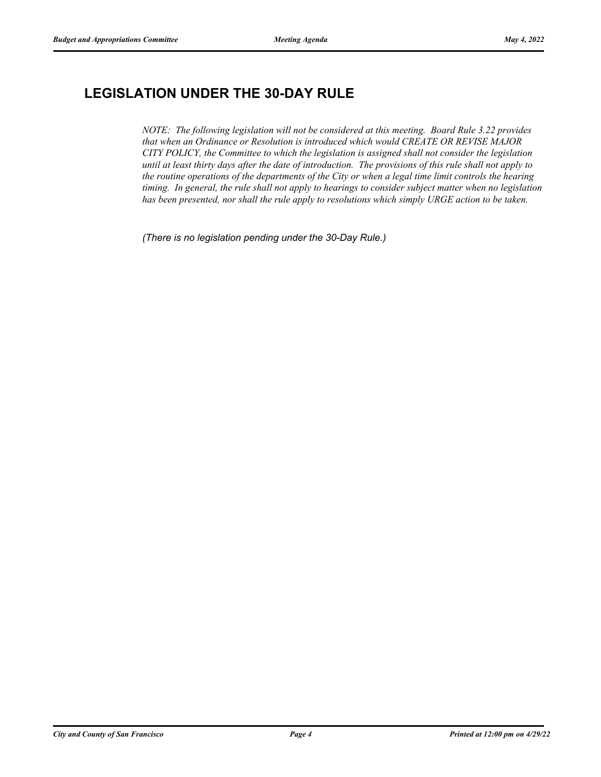# **LEGISLATION UNDER THE 30-DAY RULE**

*NOTE: The following legislation will not be considered at this meeting. Board Rule 3.22 provides that when an Ordinance or Resolution is introduced which would CREATE OR REVISE MAJOR CITY POLICY, the Committee to which the legislation is assigned shall not consider the legislation until at least thirty days after the date of introduction. The provisions of this rule shall not apply to the routine operations of the departments of the City or when a legal time limit controls the hearing timing. In general, the rule shall not apply to hearings to consider subject matter when no legislation has been presented, nor shall the rule apply to resolutions which simply URGE action to be taken.*

*(There is no legislation pending under the 30-Day Rule.)*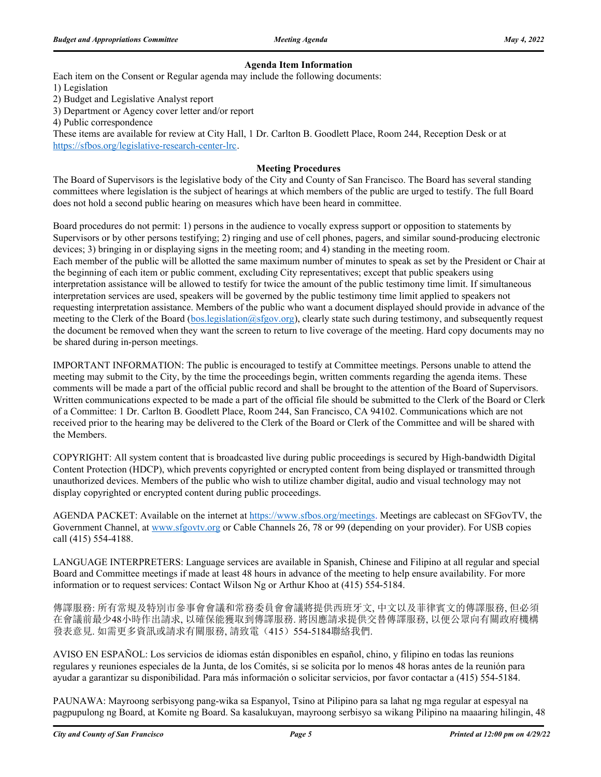#### **Agenda Item Information**

Each item on the Consent or Regular agenda may include the following documents:

1) Legislation

2) Budget and Legislative Analyst report

3) Department or Agency cover letter and/or report

4) Public correspondence

These items are available for review at City Hall, 1 Dr. Carlton B. Goodlett Place, Room 244, Reception Desk or at https://sfbos.org/legislative-research-center-lrc.

#### **Meeting Procedures**

The Board of Supervisors is the legislative body of the City and County of San Francisco. The Board has several standing committees where legislation is the subject of hearings at which members of the public are urged to testify. The full Board does not hold a second public hearing on measures which have been heard in committee.

Board procedures do not permit: 1) persons in the audience to vocally express support or opposition to statements by Supervisors or by other persons testifying; 2) ringing and use of cell phones, pagers, and similar sound-producing electronic devices; 3) bringing in or displaying signs in the meeting room; and 4) standing in the meeting room. Each member of the public will be allotted the same maximum number of minutes to speak as set by the President or Chair at the beginning of each item or public comment, excluding City representatives; except that public speakers using interpretation assistance will be allowed to testify for twice the amount of the public testimony time limit. If simultaneous interpretation services are used, speakers will be governed by the public testimony time limit applied to speakers not requesting interpretation assistance. Members of the public who want a document displayed should provide in advance of the meeting to the Clerk of the Board (bos.legislation@sfgov.org), clearly state such during testimony, and subsequently request the document be removed when they want the screen to return to live coverage of the meeting. Hard copy documents may no be shared during in-person meetings.

IMPORTANT INFORMATION: The public is encouraged to testify at Committee meetings. Persons unable to attend the meeting may submit to the City, by the time the proceedings begin, written comments regarding the agenda items. These comments will be made a part of the official public record and shall be brought to the attention of the Board of Supervisors. Written communications expected to be made a part of the official file should be submitted to the Clerk of the Board or Clerk of a Committee: 1 Dr. Carlton B. Goodlett Place, Room 244, San Francisco, CA 94102. Communications which are not received prior to the hearing may be delivered to the Clerk of the Board or Clerk of the Committee and will be shared with the Members.

COPYRIGHT: All system content that is broadcasted live during public proceedings is secured by High-bandwidth Digital Content Protection (HDCP), which prevents copyrighted or encrypted content from being displayed or transmitted through unauthorized devices. Members of the public who wish to utilize chamber digital, audio and visual technology may not display copyrighted or encrypted content during public proceedings.

AGENDA PACKET: Available on the internet at https://www.sfbos.org/meetings. Meetings are cablecast on SFGovTV, the Government Channel, at www.sfgovtv.org or Cable Channels 26, 78 or 99 (depending on your provider). For USB copies call (415) 554-4188.

LANGUAGE INTERPRETERS: Language services are available in Spanish, Chinese and Filipino at all regular and special Board and Committee meetings if made at least 48 hours in advance of the meeting to help ensure availability. For more information or to request services: Contact Wilson Ng or Arthur Khoo at (415) 554-5184.

傳譯服務: 所有常規及特別市參事會會議和常務委員會會議將提供西班牙文, 中文以及菲律賓文的傳譯服務, 但必須 在會議前最少48小時作出請求, 以確保能獲取到傳譯服務. 將因應請求提供交替傳譯服務, 以便公眾向有關政府機構 發表意見. 如需更多資訊或請求有關服務, 請致電(415) 554-5184聯絡我們.

AVISO EN ESPAÑOL: Los servicios de idiomas están disponibles en español, chino, y filipino en todas las reunions regulares y reuniones especiales de la Junta, de los Comités, si se solicita por lo menos 48 horas antes de la reunión para ayudar a garantizar su disponibilidad. Para más información o solicitar servicios, por favor contactar a (415) 554-5184.

PAUNAWA: Mayroong serbisyong pang-wika sa Espanyol, Tsino at Pilipino para sa lahat ng mga regular at espesyal na pagpupulong ng Board, at Komite ng Board. Sa kasalukuyan, mayroong serbisyo sa wikang Pilipino na maaaring hilingin, 48